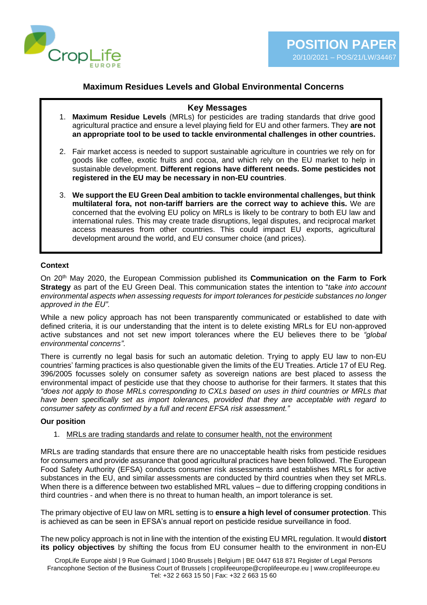

# **Maximum Residues Levels and Global Environmental Concerns**

#### **Key Messages**

- 1. **Maximum Residue Levels** (MRLs) for pesticides are trading standards that drive good agricultural practice and ensure a level playing field for EU and other farmers. They **are not an appropriate tool to be used to tackle environmental challenges in other countries.**
- 2. Fair market access is needed to support sustainable agriculture in countries we rely on for goods like coffee, exotic fruits and cocoa, and which rely on the EU market to help in sustainable development. **Different regions have different needs. Some pesticides not registered in the EU may be necessary in non-EU countries**.
- 3. **We support the EU Green Deal ambition to tackle environmental challenges, but think multilateral fora, not non-tariff barriers are the correct way to achieve this.** We are concerned that the evolving EU policy on MRLs is likely to be contrary to both EU law and international rules. This may create trade disruptions, legal disputes, and reciprocal market access measures from other countries. This could impact EU exports, agricultural development around the world, and EU consumer choice (and prices).

#### **Context**

On 20th May 2020, the European Commission published its **Communication on the Farm to Fork Strategy** as part of the EU Green Deal. This communication states the intention to "*take into account environmental aspects when assessing requests for import tolerances for pesticide substances no longer approved in the EU".*

While a new policy approach has not been transparently communicated or established to date with defined criteria, it is our understanding that the intent is to delete existing MRLs for EU non-approved active substances and not set new import tolerances where the EU believes there to be *"global environmental concerns"*.

There is currently no legal basis for such an automatic deletion. Trying to apply EU law to non-EU countries' farming practices is also questionable given the limits of the EU Treaties. Article 17 of EU Reg. 396/2005 focusses solely on consumer safety as sovereign nations are best placed to assess the environmental impact of pesticide use that they choose to authorise for their farmers. It states that this *"does not apply to those MRLs corresponding to CXLs based on uses in third countries or MRLs that have been specifically set as import tolerances, provided that they are acceptable with regard to consumer safety as confirmed by a full and recent EFSA risk assessment."*

#### **Our position**

#### 1. MRLs are trading standards and relate to consumer health, not the environment

MRLs are trading standards that ensure there are no unacceptable health risks from pesticide residues for consumers and provide assurance that good agricultural practices have been followed. The European Food Safety Authority (EFSA) conducts consumer risk assessments and establishes MRLs for active substances in the EU, and similar assessments are conducted by third countries when they set MRLs. When there is a difference between two established MRL values – due to differing cropping conditions in third countries - and when there is no threat to human health, an import tolerance is set.

The primary objective of EU law on MRL setting is to **ensure a high level of consumer protection**. This is achieved as can be seen in EFSA's annual report on pesticide residue surveillance in food.

The new policy approach is not in line with the intention of the existing EU MRL regulation. It would **distort its policy objectives** by shifting the focus from EU consumer health to the environment in non-EU